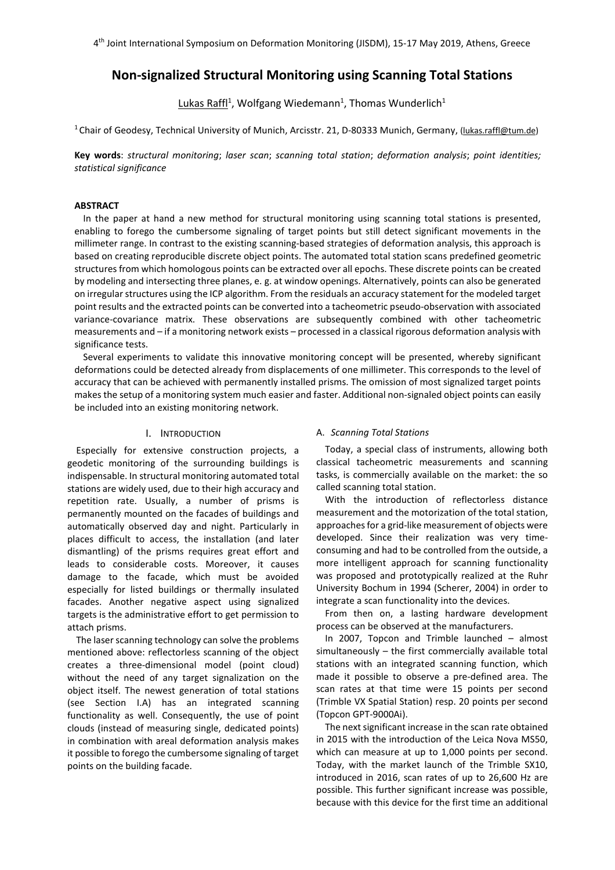# **Non-signalized Structural Monitoring using Scanning Total Stations**

Lukas Raffl<sup>1</sup>, Wolfgang Wiedemann<sup>1</sup>, Thomas Wunderlich<sup>1</sup>

<sup>1</sup> Chair of Geodesy, Technical University of Munich, Arcisstr. 21, D-80333 Munich, Germany, (lukas.raffl@tum.de)

**Key words**: *structural monitoring*; *laser scan*; *scanning total station*; *deformation analysis*; *point identities; statistical significance*

### **ABSTRACT**

In the paper at hand a new method for structural monitoring using scanning total stations is presented, enabling to forego the cumbersome signaling of target points but still detect significant movements in the millimeter range. In contrast to the existing scanning-based strategies of deformation analysis, this approach is based on creating reproducible discrete object points. The automated total station scans predefined geometric structures from which homologous points can be extracted over all epochs. These discrete points can be created by modeling and intersecting three planes, e. g. at window openings. Alternatively, points can also be generated on irregular structures using the ICP algorithm. From the residuals an accuracy statement for the modeled target point results and the extracted points can be converted into a tacheometric pseudo-observation with associated variance-covariance matrix. These observations are subsequently combined with other tacheometric measurements and – if a monitoring network exists – processed in a classical rigorous deformation analysis with significance tests.

Several experiments to validate this innovative monitoring concept will be presented, whereby significant deformations could be detected already from displacements of one millimeter. This corresponds to the level of accuracy that can be achieved with permanently installed prisms. The omission of most signalized target points makes the setup of a monitoring system much easier and faster. Additional non-signaled object points can easily be included into an existing monitoring network.

## I. INTRODUCTION

Especially for extensive construction projects, a geodetic monitoring of the surrounding buildings is indispensable. In structural monitoring automated total stations are widely used, due to their high accuracy and repetition rate. Usually, a number of prisms is permanently mounted on the facades of buildings and automatically observed day and night. Particularly in places difficult to access, the installation (and later dismantling) of the prisms requires great effort and leads to considerable costs. Moreover, it causes damage to the facade, which must be avoided especially for listed buildings or thermally insulated facades. Another negative aspect using signalized targets is the administrative effort to get permission to attach prisms.

The laser scanning technology can solve the problems mentioned above: reflectorless scanning of the object creates a three-dimensional model (point cloud) without the need of any target signalization on the object itself. The newest generation of total stations (see Section I.A) has an integrated scanning functionality as well. Consequently, the use of point clouds (instead of measuring single, dedicated points) in combination with areal deformation analysis makes it possible to forego the cumbersome signaling of target points on the building facade.

#### A. *Scanning Total Stations*

Today, a special class of instruments, allowing both classical tacheometric measurements and scanning tasks, is commercially available on the market: the so called scanning total station.

With the introduction of reflectorless distance measurement and the motorization of the total station, approaches for a grid-like measurement of objects were developed. Since their realization was very timeconsuming and had to be controlled from the outside, a more intelligent approach for scanning functionality was proposed and prototypically realized at the Ruhr University Bochum in 1994 (Scherer, 2004) in order to integrate a scan functionality into the devices.

From then on, a lasting hardware development process can be observed at the manufacturers.

In 2007, Topcon and Trimble launched – almost simultaneously – the first commercially available total stations with an integrated scanning function, which made it possible to observe a pre-defined area. The scan rates at that time were 15 points per second (Trimble VX Spatial Station) resp. 20 points per second (Topcon GPT-9000Ai).

The next significant increase in the scan rate obtained in 2015 with the introduction of the Leica Nova MS50, which can measure at up to 1,000 points per second. Today, with the market launch of the Trimble SX10, introduced in 2016, scan rates of up to 26,600 Hz are possible. This further significant increase was possible, because with this device for the first time an additional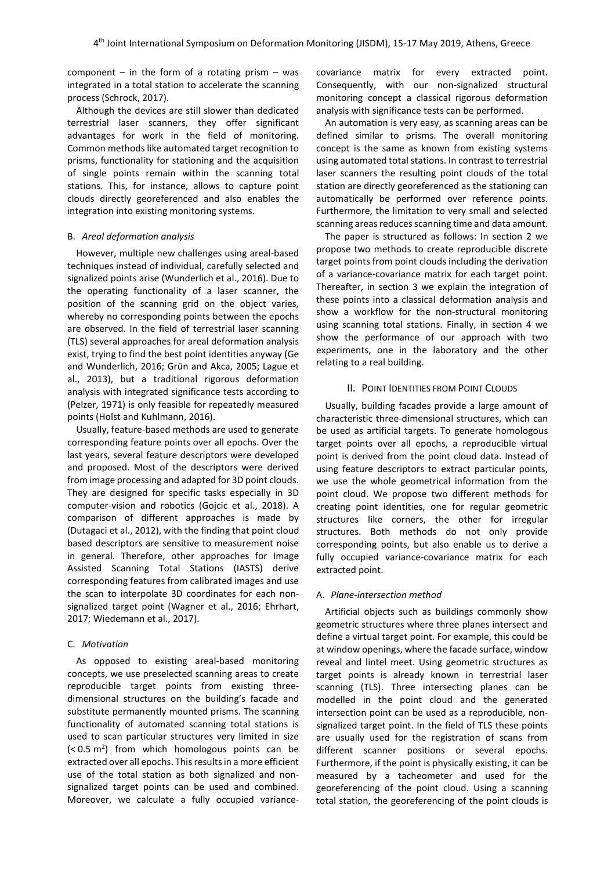component – in the form of a rotating prism – was integrated in a total station to accelerate the scanning process (Schrock, 2017).

Although the devices are still slower than dedicated terrestrial laser scanners, they offer significant advantages for work in the field of monitoring. Common methods like automated target recognition to prisms, functionality for stationing and the acquisition of single points remain within the scanning total stations. This, for instance, allows to capture point clouds directly georeferenced and also enables the integration into existing monitoring systems.

#### B. *Areal deformation analysis*

However, multiple new challenges using areal-based techniques instead of individual, carefully selected and signalized points arise (Wunderlich et al., 2016). Due to the operating functionality of a laser scanner, the position of the scanning grid on the object varies, whereby no corresponding points between the epochs are observed. In the field of terrestrial laser scanning (TLS) several approaches for areal deformation analysis exist, trying to find the best point identities anyway (Ge and Wunderlich, 2016; Grün and Akca, 2005; Lague et al., 2013), but a traditional rigorous deformation analysis with integrated significance tests according to (Pelzer, 1971) is only feasible for repeatedly measured points (Holst and Kuhlmann, 2016).

Usually, feature-based methods are used to generate corresponding feature points over all epochs. Over the last years, several feature descriptors were developed and proposed. Most of the descriptors were derived from image processing and adapted for 3D point clouds. They are designed for specific tasks especially in 3D computer-vision and robotics (Gojcic et al., 2018). A comparison of different approaches is made by (Dutagaci et al., 2012), with the finding that point cloud based descriptors are sensitive to measurement noise in general. Therefore, other approaches for Image Assisted Scanning Total Stations (IASTS) derive corresponding features from calibrated images and use the scan to interpolate 3D coordinates for each nonsignalized target point (Wagner et al., 2016; Ehrhart, 2017; Wiedemann et al., 2017).

### C. *Motivation*

As opposed to existing areal-based monitoring concepts, we use preselected scanning areas to create reproducible target points from existing threedimensional structures on the building's facade and substitute permanently mounted prisms. The scanning functionality of automated scanning total stations is used to scan particular structures very limited in size  $( $0.5 \text{ m}^2$ ) from which homologous points can be$ extracted over all epochs. This results in a more efficient use of the total station as both signalized and nonsignalized target points can be used and combined. Moreover, we calculate a fully occupied variancecovariance matrix for every extracted point. Consequently, with our non-signalized structural monitoring concept a classical rigorous deformation analysis with significance tests can be performed.

An automation is very easy, as scanning areas can be defined similar to prisms. The overall monitoring concept is the same as known from existing systems using automated total stations. In contrast to terrestrial laser scanners the resulting point clouds of the total station are directly georeferenced as the stationing can automatically be performed over reference points. Furthermore, the limitation to very small and selected scanning areas reduces scanning time and data amount.

The paper is structured as follows: In section 2 we propose two methods to create reproducible discrete target points from point clouds including the derivation of a variance-covariance matrix for each target point. Thereafter, in section 3 we explain the integration of these points into a classical deformation analysis and show a workflow for the non-structural monitoring using scanning total stations. Finally, in section 4 we show the performance of our approach with two experiments, one in the laboratory and the other relating to a real building.

### II. POINT IDENTITIES FROM POINT CLOUDS

Usually, building facades provide a large amount of characteristic three-dimensional structures, which can be used as artificial targets. To generate homologous target points over all epochs, a reproducible virtual point is derived from the point cloud data. Instead of using feature descriptors to extract particular points, we use the whole geometrical information from the point cloud. We propose two different methods for creating point identities, one for regular geometric structures like corners, the other for irregular structures. Both methods do not only provide corresponding points, but also enable us to derive a fully occupied variance-covariance matrix for each extracted point.

#### A. *Plane-intersection method*

Artificial objects such as buildings commonly show geometric structures where three planes intersect and define a virtual target point. For example, this could be at window openings, where the facade surface, window reveal and lintel meet. Using geometric structures as target points is already known in terrestrial laser scanning (TLS). Three intersecting planes can be modelled in the point cloud and the generated intersection point can be used as a reproducible, nonsignalized target point. In the field of TLS these points are usually used for the registration of scans from different scanner positions or several epochs. Furthermore, if the point is physically existing, it can be measured by a tacheometer and used for the georeferencing of the point cloud. Using a scanning total station, the georeferencing of the point clouds is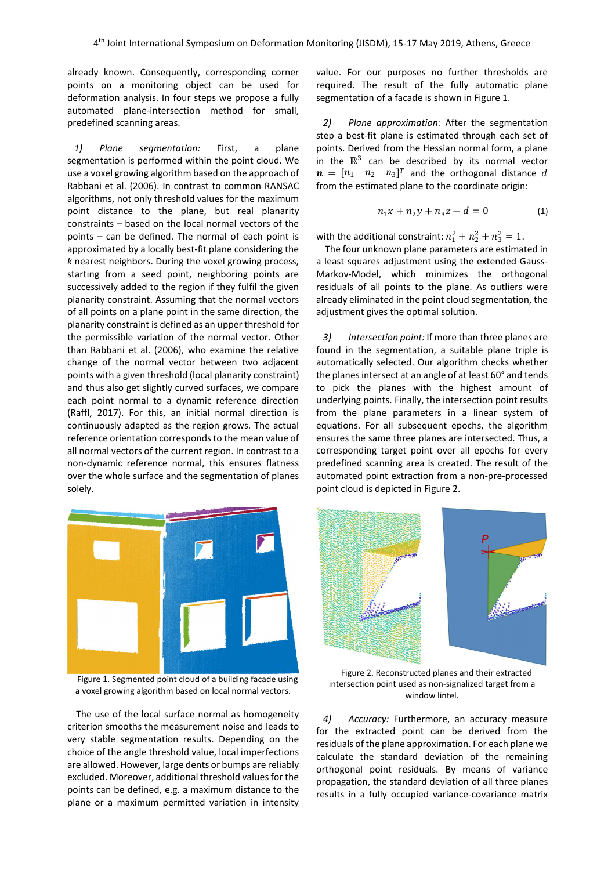already known. Consequently, corresponding corner points on a monitoring object can be used for deformation analysis. In four steps we propose a fully automated plane-intersection method for small, predefined scanning areas.

*1) Plane segmentation:* First, a plane segmentation is performed within the point cloud. We use a voxel growing algorithm based on the approach of Rabbani et al. (2006). In contrast to common RANSAC algorithms, not only threshold values for the maximum point distance to the plane, but real planarity constraints – based on the local normal vectors of the points – can be defined. The normal of each point is approximated by a locally best-fit plane considering the *k* nearest neighbors. During the voxel growing process, starting from a seed point, neighboring points are successively added to the region if they fulfil the given planarity constraint. Assuming that the normal vectors of all points on a plane point in the same direction, the planarity constraint is defined as an upper threshold for the permissible variation of the normal vector. Other than Rabbani et al. (2006), who examine the relative change of the normal vector between two adjacent points with a given threshold (local planarity constraint) and thus also get slightly curved surfaces, we compare each point normal to a dynamic reference direction (Raffl, 2017). For this, an initial normal direction is continuously adapted as the region grows. The actual reference orientation corresponds to the mean value of all normal vectors of the current region. In contrast to a non-dynamic reference normal, this ensures flatness over the whole surface and the segmentation of planes solely.



Figure 1. Segmented point cloud of a building facade using a voxel growing algorithm based on local normal vectors.

The use of the local surface normal as homogeneity criterion smooths the measurement noise and leads to very stable segmentation results. Depending on the choice of the angle threshold value, local imperfections are allowed. However, large dents or bumps are reliably excluded. Moreover, additional threshold values for the points can be defined, e.g. a maximum distance to the plane or a maximum permitted variation in intensity value. For our purposes no further thresholds are required. The result of the fully automatic plane segmentation of a facade is shown in Figure 1.

*2) Plane approximation:* After the segmentation step a best-fit plane is estimated through each set of points. Derived from the Hessian normal form, a plane in the  $\mathbb{R}^3$  can be described by its normal vector  $\boldsymbol{n} = [n_1 \quad n_2 \quad n_3]^T$  and the orthogonal distance  $d$ from the estimated plane to the coordinate origin:

$$
n_1x + n_2y + n_3z - d = 0 \tag{1}
$$

with the additional constraint:  $n_1^2 + n_2^2 + n_3^2 = 1$ .

The four unknown plane parameters are estimated in a least squares adjustment using the extended Gauss-Markov-Model, which minimizes the orthogonal residuals of all points to the plane. As outliers were already eliminated in the point cloud segmentation, the adjustment gives the optimal solution.

*3) Intersection point:* If more than three planes are found in the segmentation, a suitable plane triple is automatically selected. Our algorithm checks whether the planes intersect at an angle of at least 60° and tends to pick the planes with the highest amount of underlying points. Finally, the intersection point results from the plane parameters in a linear system of equations. For all subsequent epochs, the algorithm ensures the same three planes are intersected. Thus, a corresponding target point over all epochs for every predefined scanning area is created. The result of the automated point extraction from a non-pre-processed point cloud is depicted in Figure 2.



Figure 2. Reconstructed planes and their extracted intersection point used as non-signalized target from a window lintel.

*4) Accuracy:* Furthermore, an accuracy measure for the extracted point can be derived from the residuals of the plane approximation. For each plane we calculate the standard deviation of the remaining orthogonal point residuals. By means of variance propagation, the standard deviation of all three planes results in a fully occupied variance-covariance matrix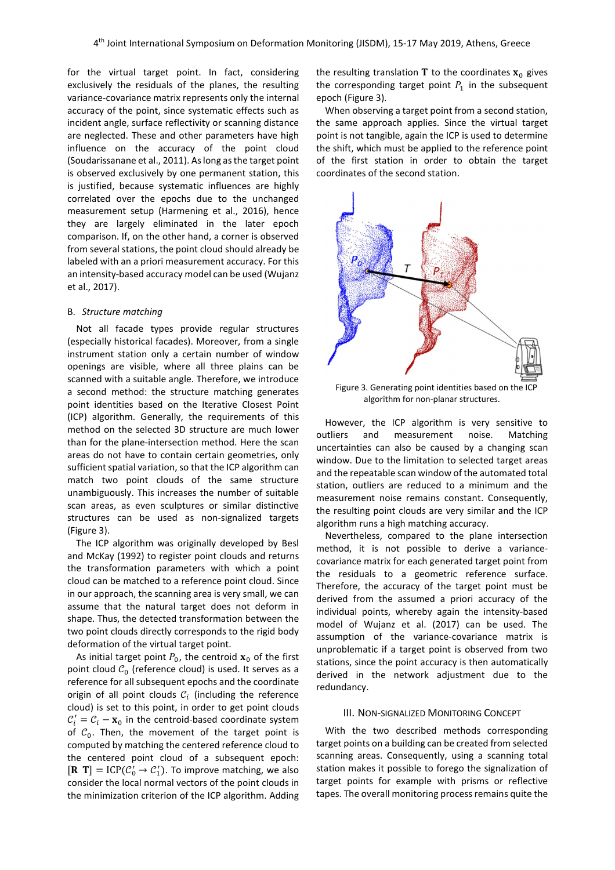for the virtual target point. In fact, considering exclusively the residuals of the planes, the resulting variance-covariance matrix represents only the internal accuracy of the point, since systematic effects such as incident angle, surface reflectivity or scanning distance are neglected. These and other parameters have high influence on the accuracy of the point cloud (Soudarissanane et al., 2011). As long as the target point is observed exclusively by one permanent station, this is justified, because systematic influences are highly correlated over the epochs due to the unchanged measurement setup (Harmening et al., 2016), hence they are largely eliminated in the later epoch comparison. If, on the other hand, a corner is observed from several stations, the point cloud should already be labeled with an a priori measurement accuracy. For this an intensity-based accuracy model can be used (Wujanz et al., 2017).

### B. *Structure matching*

Not all facade types provide regular structures (especially historical facades). Moreover, from a single instrument station only a certain number of window openings are visible, where all three plains can be scanned with a suitable angle. Therefore, we introduce a second method: the structure matching generates point identities based on the Iterative Closest Point (ICP) algorithm. Generally, the requirements of this method on the selected 3D structure are much lower than for the plane-intersection method. Here the scan areas do not have to contain certain geometries, only sufficient spatial variation, so that the ICP algorithm can match two point clouds of the same structure unambiguously. This increases the number of suitable scan areas, as even sculptures or similar distinctive structures can be used as non-signalized targets (Figure 3).

The ICP algorithm was originally developed by Besl and McKay (1992) to register point clouds and returns the transformation parameters with which a point cloud can be matched to a reference point cloud. Since in our approach, the scanning area is very small, we can assume that the natural target does not deform in shape. Thus, the detected transformation between the two point clouds directly corresponds to the rigid body deformation of the virtual target point.

As initial target point  $P_0$ , the centroid  $\mathbf{x}_0$  of the first point cloud  $\mathcal{C}_0$  (reference cloud) is used. It serves as a reference for all subsequent epochs and the coordinate origin of all point clouds  $\mathcal{C}_i$  (including the reference cloud) is set to this point, in order to get point clouds  $\mathcal{C}'_i = \mathcal{C}_i - \mathbf{x}_0$  in the centroid-based coordinate system of  $C_0$ . Then, the movement of the target point is computed by matching the centered reference cloud to the centered point cloud of a subsequent epoch:  $[\mathbf{R} \ \mathbf{T}] = \text{ICP}(\mathcal{C}'_0 \rightarrow \mathcal{C}'_1)$ . To improve matching, we also consider the local normal vectors of the point clouds in the minimization criterion of the ICP algorithm. Adding

the resulting translation **T** to the coordinates  $\mathbf{x}_0$  gives the corresponding target point  $P_1$  in the subsequent epoch (Figure 3).

When observing a target point from a second station, the same approach applies. Since the virtual target point is not tangible, again the ICP is used to determine the shift, which must be applied to the reference point of the first station in order to obtain the target coordinates of the second station.



Figure 3. Generating point identities based on the ICP algorithm for non-planar structures.

However, the ICP algorithm is very sensitive to outliers and measurement noise. Matching uncertainties can also be caused by a changing scan window. Due to the limitation to selected target areas and the repeatable scan window of the automated total station, outliers are reduced to a minimum and the measurement noise remains constant. Consequently, the resulting point clouds are very similar and the ICP algorithm runs a high matching accuracy.

Nevertheless, compared to the plane intersection method, it is not possible to derive a variancecovariance matrix for each generated target point from the residuals to a geometric reference surface. Therefore, the accuracy of the target point must be derived from the assumed a priori accuracy of the individual points, whereby again the intensity-based model of Wujanz et al. (2017) can be used. The assumption of the variance-covariance matrix is unproblematic if a target point is observed from two stations, since the point accuracy is then automatically derived in the network adjustment due to the redundancy.

### III. NON-SIGNALIZED MONITORING CONCEPT

With the two described methods corresponding target points on a building can be created from selected scanning areas. Consequently, using a scanning total station makes it possible to forego the signalization of target points for example with prisms or reflective tapes. The overall monitoring process remains quite the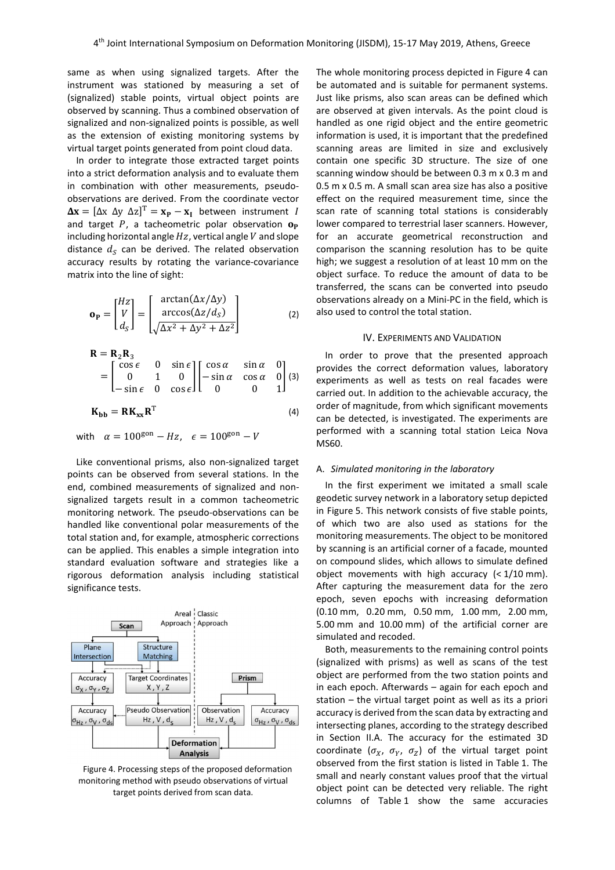same as when using signalized targets. After the instrument was stationed by measuring a set of (signalized) stable points, virtual object points are observed by scanning. Thus a combined observation of signalized and non-signalized points is possible, as well as the extension of existing monitoring systems by virtual target points generated from point cloud data.

In order to integrate those extracted target points into a strict deformation analysis and to evaluate them in combination with other measurements, pseudoobservations are derived. From the coordinate vector  $\Delta x = [\Delta x \; \Delta y \; \Delta z]^T = x_P - x_I$  between instrument I and target  $P$ , a tacheometric polar observation  $\mathbf{o}_P$ including horizontal angle  $Hz$ , vertical angle  $V$  and slope distance  $d_S$  can be derived. The related observation accuracy results by rotating the variance-covariance matrix into the line of sight:

$$
\mathbf{o}_{\mathbf{P}} = \begin{bmatrix} Hz \\ V \\ d_{S} \end{bmatrix} = \begin{bmatrix} \arctan(\Delta x/\Delta y) \\ \arccos(\Delta z/d_{S}) \\ \sqrt{\Delta x^2 + \Delta y^2 + \Delta z^2} \end{bmatrix}
$$
 (2)

$$
\mathbf{R} = \mathbf{R}_2 \mathbf{R}_3
$$
  
= 
$$
\begin{bmatrix} \cos \epsilon & 0 & \sin \epsilon \\ 0 & 1 & 0 \\ -\sin \epsilon & 0 & \cos \epsilon \end{bmatrix} \begin{bmatrix} \cos \alpha & \sin \alpha & 0 \\ -\sin \alpha & \cos \alpha & 0 \\ 0 & 0 & 1 \end{bmatrix}
$$
 (3)

$$
\mathbf{K}_{\mathbf{bb}} = \mathbf{R} \mathbf{K}_{\mathbf{xx}} \mathbf{R}^{\mathrm{T}} \tag{4}
$$

with  $\alpha = 100^{\text{gon}} - Hz$ ,  $\epsilon = 100^{\text{gon}} - V$ 

Like conventional prisms, also non-signalized target points can be observed from several stations. In the end, combined measurements of signalized and nonsignalized targets result in a common tacheometric monitoring network. The pseudo-observations can be handled like conventional polar measurements of the total station and, for example, atmospheric corrections can be applied. This enables a simple integration into standard evaluation software and strategies like a rigorous deformation analysis including statistical significance tests.



Figure 4. Processing steps of the proposed deformation monitoring method with pseudo observations of virtual target points derived from scan data.

The whole monitoring process depicted in Figure 4 can be automated and is suitable for permanent systems. Just like prisms, also scan areas can be defined which are observed at given intervals. As the point cloud is handled as one rigid object and the entire geometric information is used, it is important that the predefined scanning areas are limited in size and exclusively contain one specific 3D structure. The size of one scanning window should be between 0.3 m x 0.3 m and 0.5 m x 0.5 m. A small scan area size has also a positive effect on the required measurement time, since the scan rate of scanning total stations is considerably lower compared to terrestrial laser scanners. However, for an accurate geometrical reconstruction and comparison the scanning resolution has to be quite high; we suggest a resolution of at least 10 mm on the object surface. To reduce the amount of data to be transferred, the scans can be converted into pseudo observations already on a Mini-PC in the field, which is also used to control the total station.

#### IV. EXPERIMENTS AND VALIDATION

In order to prove that the presented approach provides the correct deformation values, laboratory experiments as well as tests on real facades were carried out. In addition to the achievable accuracy, the order of magnitude, from which significant movements can be detected, is investigated. The experiments are performed with a scanning total station Leica Nova MS60.

#### A. *Simulated monitoring in the laboratory*

In the first experiment we imitated a small scale geodetic survey network in a laboratory setup depicted in Figure 5. This network consists of five stable points, of which two are also used as stations for the monitoring measurements. The object to be monitored by scanning is an artificial corner of a facade, mounted on compound slides, which allows to simulate defined object movements with high accuracy  $( $1/10 \text{ mm}$ ).$ After capturing the measurement data for the zero epoch, seven epochs with increasing deformation (0.10 mm, 0.20 mm, 0.50 mm, 1.00 mm, 2.00 mm, 5.00 mm and 10.00 mm) of the artificial corner are simulated and recoded.

Both, measurements to the remaining control points (signalized with prisms) as well as scans of the test object are performed from the two station points and in each epoch. Afterwards – again for each epoch and station – the virtual target point as well as its a priori accuracy is derived from the scan data by extracting and intersecting planes, according to the strategy described in Section II.A. The accuracy for the estimated 3D coordinate ( $\sigma_X$ ,  $\sigma_Y$ ,  $\sigma_Z$ ) of the virtual target point observed from the first station is listed in Table 1. The small and nearly constant values proof that the virtual object point can be detected very reliable. The right columns of Table 1 show the same accuracies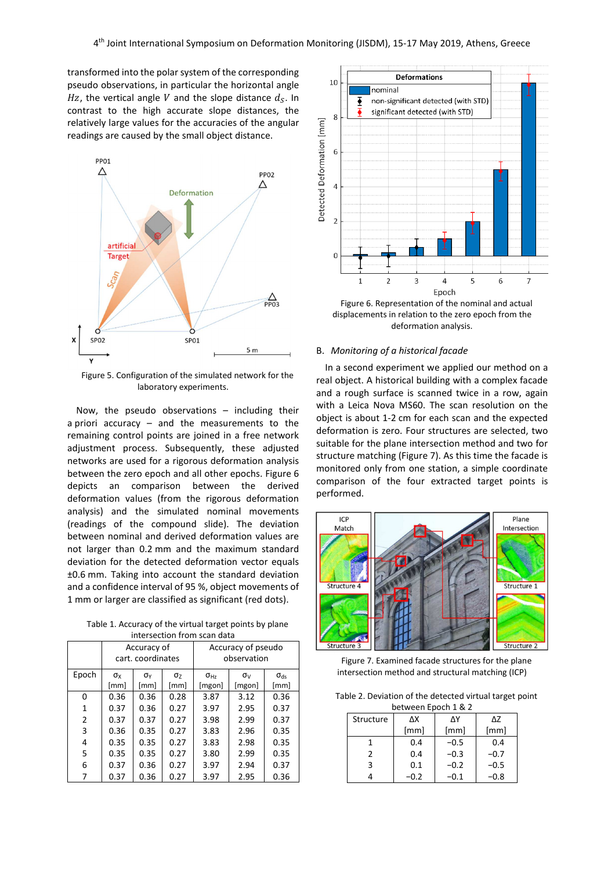transformed into the polar system of the corresponding pseudo observations, in particular the horizontal angle Hz, the vertical angle V and the slope distance  $d_{\mathcal{S}}$ . In contrast to the high accurate slope distances, the relatively large values for the accuracies of the angular readings are caused by the small object distance.



Figure 5. Configuration of the simulated network for the laboratory experiments.

Now, the pseudo observations – including their a priori accuracy – and the measurements to the remaining control points are joined in a free network adjustment process. Subsequently, these adjusted networks are used for a rigorous deformation analysis between the zero epoch and all other epochs. Figure 6 depicts an comparison between the derived deformation values (from the rigorous deformation analysis) and the simulated nominal movements (readings of the compound slide). The deviation between nominal and derived deformation values are not larger than 0.2 mm and the maximum standard deviation for the detected deformation vector equals ±0.6 mm. Taking into account the standard deviation and a confidence interval of 95 %, object movements of 1 mm or larger are classified as significant (red dots).

Table 1. Accuracy of the virtual target points by plane intersection from scan data

|       | Accuracy of<br>cart. coordinates |                      |                               | Accuracy of pseudo<br>observation |                        |                           |
|-------|----------------------------------|----------------------|-------------------------------|-----------------------------------|------------------------|---------------------------|
| Epoch | $\sigma_{\rm X}$<br>[mm]         | $\sigma_{Y}$<br>[mm] | $\sigma$ <sub>Z</sub><br>[mm] | $\sigma_{Hz}$<br>[mgon]           | $\sigma_{V}$<br>[mgon] | $\sigma_{\rm ds}$<br>[mm] |
| 0     | 0.36                             | 0.36                 | 0.28                          | 3.87                              | 3.12                   | 0.36                      |
| 1     | 0.37                             | 0.36                 | 0.27                          | 3.97                              | 2.95                   | 0.37                      |
| 2     | 0.37                             | 0.37                 | 0.27                          | 3.98                              | 2.99                   | 0.37                      |
| 3     | 0.36                             | 0.35                 | 0.27                          | 3.83                              | 2.96                   | 0.35                      |
| 4     | 0.35                             | 0.35                 | 0.27                          | 3.83                              | 2.98                   | 0.35                      |
| 5     | 0.35                             | 0.35                 | 0.27                          | 3.80                              | 2.99                   | 0.35                      |
| 6     | 0.37                             | 0.36                 | 0.27                          | 3.97                              | 2.94                   | 0.37                      |
|       | 0.37                             | 0.36                 | 0.27                          | 3.97                              | 2.95                   | 0.36                      |



Figure 6. Representation of the nominal and actual displacements in relation to the zero epoch from the deformation analysis.

### B. *Monitoring of a historical facade*

In a second experiment we applied our method on a real object. A historical building with a complex facade and a rough surface is scanned twice in a row, again with a Leica Nova MS60. The scan resolution on the object is about 1-2 cm for each scan and the expected deformation is zero. Four structures are selected, two suitable for the plane intersection method and two for structure matching (Figure 7). As this time the facade is monitored only from one station, a simple coordinate comparison of the four extracted target points is performed.



Figure 7. Examined facade structures for the plane intersection method and structural matching (ICP)

Table 2. Deviation of the detected virtual target point between Epoch 1 & 2

| Structure | ΔΧ     | ΛΥ     | ΔΖ     |  |
|-----------|--------|--------|--------|--|
|           | [mm]   | [mm]   | [mm]   |  |
|           | 0.4    | $-0.5$ | 0.4    |  |
| 2         | 0.4    | $-0.3$ | $-0.7$ |  |
| ٦         | 0.1    | $-0.2$ | $-0.5$ |  |
|           | $-0.2$ | $-0.1$ | -0.8   |  |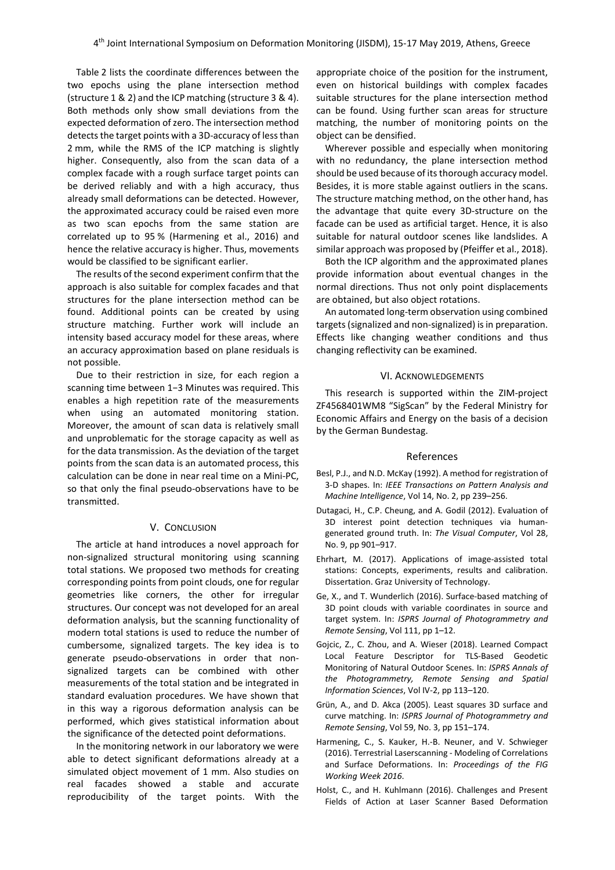Table 2 lists the coordinate differences between the two epochs using the plane intersection method (structure 1 & 2) and the ICP matching (structure 3 & 4). Both methods only show small deviations from the expected deformation of zero. The intersection method detects the target points with a 3D-accuracy of less than 2 mm, while the RMS of the ICP matching is slightly higher. Consequently, also from the scan data of a complex facade with a rough surface target points can be derived reliably and with a high accuracy, thus already small deformations can be detected. However, the approximated accuracy could be raised even more as two scan epochs from the same station are correlated up to 95 % (Harmening et al., 2016) and hence the relative accuracy is higher. Thus, movements would be classified to be significant earlier.

The results of the second experiment confirm that the approach is also suitable for complex facades and that structures for the plane intersection method can be found. Additional points can be created by using structure matching. Further work will include an intensity based accuracy model for these areas, where an accuracy approximation based on plane residuals is not possible.

Due to their restriction in size, for each region a scanning time between 1−3 Minutes was required. This enables a high repetition rate of the measurements when using an automated monitoring station. Moreover, the amount of scan data is relatively small and unproblematic for the storage capacity as well as for the data transmission. As the deviation of the target points from the scan data is an automated process, this calculation can be done in near real time on a Mini-PC, so that only the final pseudo-observations have to be transmitted.

### V. CONCLUSION

The article at hand introduces a novel approach for non-signalized structural monitoring using scanning total stations. We proposed two methods for creating corresponding points from point clouds, one for regular geometries like corners, the other for irregular structures. Our concept was not developed for an areal deformation analysis, but the scanning functionality of modern total stations is used to reduce the number of cumbersome, signalized targets. The key idea is to generate pseudo-observations in order that nonsignalized targets can be combined with other measurements of the total station and be integrated in standard evaluation procedures. We have shown that in this way a rigorous deformation analysis can be performed, which gives statistical information about the significance of the detected point deformations.

In the monitoring network in our laboratory we were able to detect significant deformations already at a simulated object movement of 1 mm. Also studies on real facades showed a stable and accurate reproducibility of the target points. With the appropriate choice of the position for the instrument, even on historical buildings with complex facades suitable structures for the plane intersection method can be found. Using further scan areas for structure matching, the number of monitoring points on the object can be densified.

Wherever possible and especially when monitoring with no redundancy, the plane intersection method should be used because of its thorough accuracy model. Besides, it is more stable against outliers in the scans. The structure matching method, on the other hand, has the advantage that quite every 3D-structure on the facade can be used as artificial target. Hence, it is also suitable for natural outdoor scenes like landslides. A similar approach was proposed by (Pfeiffer et al., 2018).

Both the ICP algorithm and the approximated planes provide information about eventual changes in the normal directions. Thus not only point displacements are obtained, but also object rotations.

An automated long-term observation using combined targets (signalized and non-signalized) is in preparation. Effects like changing weather conditions and thus changing reflectivity can be examined.

#### VI. ACKNOWLEDGEMENTS

This research is supported within the ZIM-project ZF4568401WM8 "SigScan" by the Federal Ministry for Economic Affairs and Energy on the basis of a decision by the German Bundestag.

#### References

- Besl, P.J., and N.D. McKay (1992). A method for registration of 3-D shapes. In: *IEEE Transactions on Pattern Analysis and Machine Intelligence*, Vol 14, No. 2, pp 239–256.
- Dutagaci, H., C.P. Cheung, and A. Godil (2012). Evaluation of 3D interest point detection techniques via humangenerated ground truth. In: *The Visual Computer*, Vol 28, No. 9, pp 901–917.
- Ehrhart, M. (2017). Applications of image-assisted total stations: Concepts, experiments, results and calibration. Dissertation. Graz University of Technology.
- Ge, X., and T. Wunderlich (2016). Surface-based matching of 3D point clouds with variable coordinates in source and target system. In: *ISPRS Journal of Photogrammetry and Remote Sensing*, Vol 111, pp 1–12.
- Gojcic, Z., C. Zhou, and A. Wieser (2018). Learned Compact Local Feature Descriptor for TLS-Based Geodetic Monitoring of Natural Outdoor Scenes. In: *ISPRS Annals of the Photogrammetry, Remote Sensing and Spatial Information Sciences*, Vol IV-2, pp 113–120.
- Grün, A., and D. Akca (2005). Least squares 3D surface and curve matching. In: *ISPRS Journal of Photogrammetry and Remote Sensing*, Vol 59, No. 3, pp 151–174.
- Harmening, C., S. Kauker, H.-B. Neuner, and V. Schwieger (2016). Terrestrial Laserscanning - Modeling of Correlations and Surface Deformations. In: *Proceedings of the FIG Working Week 2016*.
- Holst, C., and H. Kuhlmann (2016). Challenges and Present Fields of Action at Laser Scanner Based Deformation